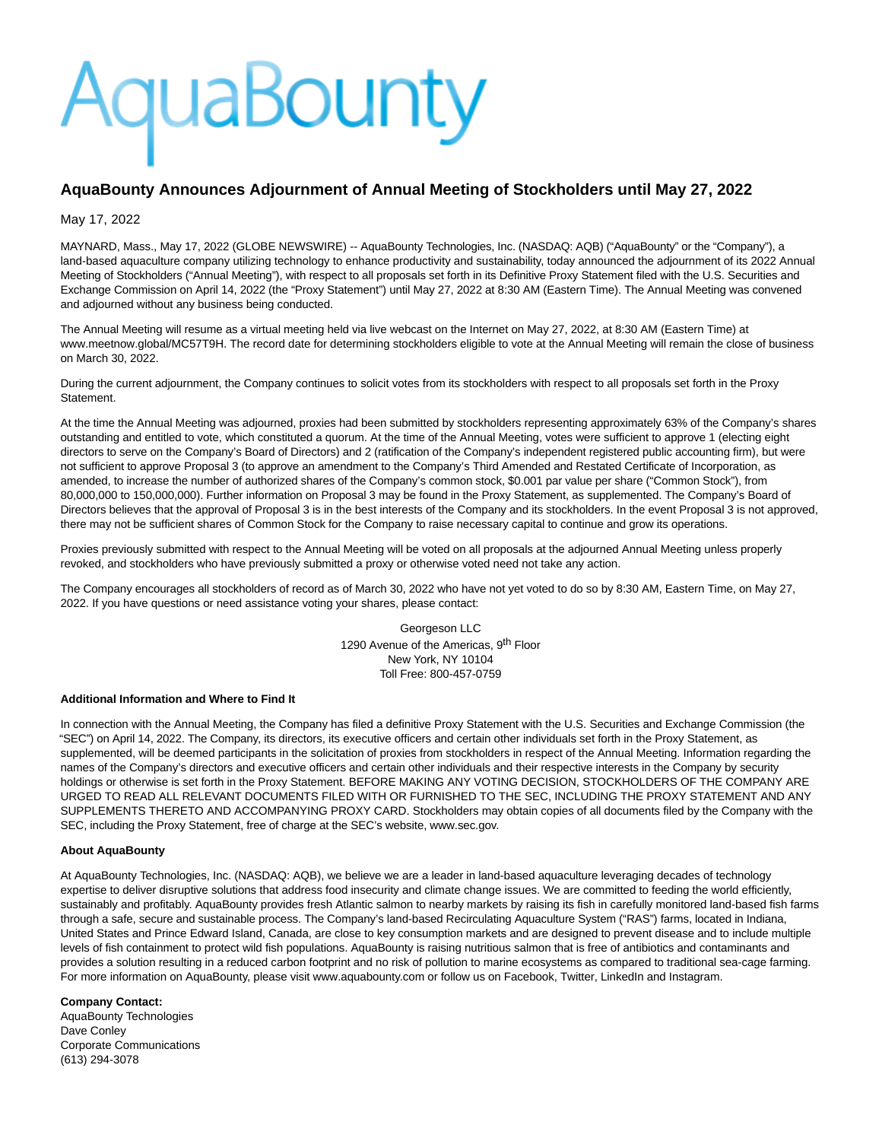# AquaBounty

# **AquaBounty Announces Adjournment of Annual Meeting of Stockholders until May 27, 2022**

### May 17, 2022

MAYNARD, Mass., May 17, 2022 (GLOBE NEWSWIRE) -- AquaBounty Technologies, Inc. (NASDAQ: AQB) ("AquaBounty" or the "Company"), a land-based aquaculture company utilizing technology to enhance productivity and sustainability, today announced the adjournment of its 2022 Annual Meeting of Stockholders ("Annual Meeting"), with respect to all proposals set forth in its Definitive Proxy Statement filed with the U.S. Securities and Exchange Commission on April 14, 2022 (the "Proxy Statement") until May 27, 2022 at 8:30 AM (Eastern Time). The Annual Meeting was convened and adjourned without any business being conducted.

The Annual Meeting will resume as a virtual meeting held via live webcast on the Internet on May 27, 2022, at 8:30 AM (Eastern Time) at www.meetnow.global/MC57T9H. The record date for determining stockholders eligible to vote at the Annual Meeting will remain the close of business on March 30, 2022.

During the current adjournment, the Company continues to solicit votes from its stockholders with respect to all proposals set forth in the Proxy Statement.

At the time the Annual Meeting was adjourned, proxies had been submitted by stockholders representing approximately 63% of the Company's shares outstanding and entitled to vote, which constituted a quorum. At the time of the Annual Meeting, votes were sufficient to approve 1 (electing eight directors to serve on the Company's Board of Directors) and 2 (ratification of the Company's independent registered public accounting firm), but were not sufficient to approve Proposal 3 (to approve an amendment to the Company's Third Amended and Restated Certificate of Incorporation, as amended, to increase the number of authorized shares of the Company's common stock, \$0.001 par value per share ("Common Stock"), from 80,000,000 to 150,000,000). Further information on Proposal 3 may be found in the Proxy Statement, as supplemented. The Company's Board of Directors believes that the approval of Proposal 3 is in the best interests of the Company and its stockholders. In the event Proposal 3 is not approved, there may not be sufficient shares of Common Stock for the Company to raise necessary capital to continue and grow its operations.

Proxies previously submitted with respect to the Annual Meeting will be voted on all proposals at the adjourned Annual Meeting unless properly revoked, and stockholders who have previously submitted a proxy or otherwise voted need not take any action.

The Company encourages all stockholders of record as of March 30, 2022 who have not yet voted to do so by 8:30 AM, Eastern Time, on May 27, 2022. If you have questions or need assistance voting your shares, please contact:

> Georgeson LLC 1290 Avenue of the Americas, 9<sup>th</sup> Floor New York, NY 10104 Toll Free: 800-457-0759

#### **Additional Information and Where to Find It**

In connection with the Annual Meeting, the Company has filed a definitive Proxy Statement with the U.S. Securities and Exchange Commission (the "SEC") on April 14, 2022. The Company, its directors, its executive officers and certain other individuals set forth in the Proxy Statement, as supplemented, will be deemed participants in the solicitation of proxies from stockholders in respect of the Annual Meeting. Information regarding the names of the Company's directors and executive officers and certain other individuals and their respective interests in the Company by security holdings or otherwise is set forth in the Proxy Statement. BEFORE MAKING ANY VOTING DECISION, STOCKHOLDERS OF THE COMPANY ARE URGED TO READ ALL RELEVANT DOCUMENTS FILED WITH OR FURNISHED TO THE SEC, INCLUDING THE PROXY STATEMENT AND ANY SUPPLEMENTS THERETO AND ACCOMPANYING PROXY CARD. Stockholders may obtain copies of all documents filed by the Company with the SEC, including the Proxy Statement, free of charge at the SEC's website, www.sec.gov.

#### **About AquaBounty**

At AquaBounty Technologies, Inc. (NASDAQ: AQB), we believe we are a leader in land-based aquaculture leveraging decades of technology expertise to deliver disruptive solutions that address food insecurity and climate change issues. We are committed to feeding the world efficiently, sustainably and profitably. AquaBounty provides fresh Atlantic salmon to nearby markets by raising its fish in carefully monitored land-based fish farms through a safe, secure and sustainable process. The Company's land-based Recirculating Aquaculture System ("RAS") farms, located in Indiana, United States and Prince Edward Island, Canada, are close to key consumption markets and are designed to prevent disease and to include multiple levels of fish containment to protect wild fish populations. AquaBounty is raising nutritious salmon that is free of antibiotics and contaminants and provides a solution resulting in a reduced carbon footprint and no risk of pollution to marine ecosystems as compared to traditional sea-cage farming. For more information on AquaBounty, please visit www.aquabounty.com or follow us on Facebook, Twitter, LinkedIn and Instagram.

# **Company Contact:**

AquaBounty Technologies Dave Conley Corporate Communications (613) 294-3078